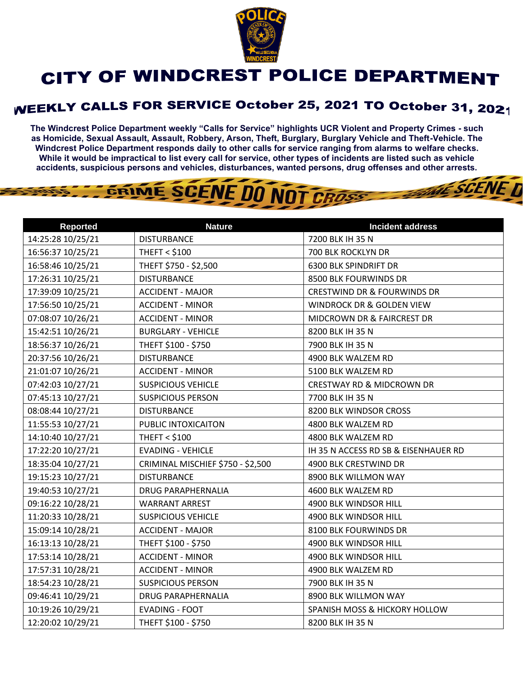

## CITY OF WINDCREST POLICE DEPARTMENT

## **WEEKLY CALLS FOR SERVICE October 25, 2021 TO October 31, 2021**

**The Windcrest Police Department weekly "Calls for Service" highlights UCR Violent and Property Crimes - such as Homicide, Sexual Assault, Assault, Robbery, Arson, Theft, Burglary, Burglary Vehicle and Theft-Vehicle. The Windcrest Police Department responds daily to other calls for service ranging from alarms to welfare checks. While it would be impractical to list every call for service, other types of incidents are listed such as vehicle accidents, suspicious persons and vehicles, disturbances, wanted persons, drug offenses and other arrests.** 

**THE SCENE D** 

## GRIME SCENE DO NOT CROSS

| <b>Reported</b>   | <b>Nature</b>                     | <b>Incident address</b>                |
|-------------------|-----------------------------------|----------------------------------------|
| 14:25:28 10/25/21 | <b>DISTURBANCE</b>                | 7200 BLK IH 35 N                       |
| 16:56:37 10/25/21 | <b>THEFT &lt; \$100</b>           | 700 BLK ROCKLYN DR                     |
| 16:58:46 10/25/21 | THEFT \$750 - \$2,500             | <b>6300 BLK SPINDRIFT DR</b>           |
| 17:26:31 10/25/21 | <b>DISTURBANCE</b>                | 8500 BLK FOURWINDS DR                  |
| 17:39:09 10/25/21 | <b>ACCIDENT - MAJOR</b>           | <b>CRESTWIND DR &amp; FOURWINDS DR</b> |
| 17:56:50 10/25/21 | <b>ACCIDENT - MINOR</b>           | WINDROCK DR & GOLDEN VIEW              |
| 07:08:07 10/26/21 | <b>ACCIDENT - MINOR</b>           | MIDCROWN DR & FAIRCREST DR             |
| 15:42:51 10/26/21 | <b>BURGLARY - VEHICLE</b>         | 8200 BLK IH 35 N                       |
| 18:56:37 10/26/21 | THEFT \$100 - \$750               | 7900 BLK IH 35 N                       |
| 20:37:56 10/26/21 | <b>DISTURBANCE</b>                | 4900 BLK WALZEM RD                     |
| 21:01:07 10/26/21 | <b>ACCIDENT - MINOR</b>           | 5100 BLK WALZEM RD                     |
| 07:42:03 10/27/21 | <b>SUSPICIOUS VEHICLE</b>         | <b>CRESTWAY RD &amp; MIDCROWN DR</b>   |
| 07:45:13 10/27/21 | <b>SUSPICIOUS PERSON</b>          | 7700 BLK IH 35 N                       |
| 08:08:44 10/27/21 | <b>DISTURBANCE</b>                | 8200 BLK WINDSOR CROSS                 |
| 11:55:53 10/27/21 | PUBLIC INTOXICAITON               | 4800 BLK WALZEM RD                     |
| 14:10:40 10/27/21 | <b>THEFT &lt; \$100</b>           | 4800 BLK WALZEM RD                     |
| 17:22:20 10/27/21 | <b>EVADING - VEHICLE</b>          | IH 35 N ACCESS RD SB & EISENHAUER RD   |
| 18:35:04 10/27/21 | CRIMINAL MISCHIEF \$750 - \$2,500 | 4900 BLK CRESTWIND DR                  |
| 19:15:23 10/27/21 | <b>DISTURBANCE</b>                | 8900 BLK WILLMON WAY                   |
| 19:40:53 10/27/21 | <b>DRUG PARAPHERNALIA</b>         | 4600 BLK WALZEM RD                     |
| 09:16:22 10/28/21 | <b>WARRANT ARREST</b>             | 4900 BLK WINDSOR HILL                  |
| 11:20:33 10/28/21 | <b>SUSPICIOUS VEHICLE</b>         | 4900 BLK WINDSOR HILL                  |
| 15:09:14 10/28/21 | <b>ACCIDENT - MAJOR</b>           | 8100 BLK FOURWINDS DR                  |
| 16:13:13 10/28/21 | THEFT \$100 - \$750               | 4900 BLK WINDSOR HILL                  |
| 17:53:14 10/28/21 | <b>ACCIDENT - MINOR</b>           | 4900 BLK WINDSOR HILL                  |
| 17:57:31 10/28/21 | <b>ACCIDENT - MINOR</b>           | 4900 BLK WALZEM RD                     |
| 18:54:23 10/28/21 | <b>SUSPICIOUS PERSON</b>          | 7900 BLK IH 35 N                       |
| 09:46:41 10/29/21 | <b>DRUG PARAPHERNALIA</b>         | 8900 BLK WILLMON WAY                   |
| 10:19:26 10/29/21 | <b>EVADING - FOOT</b>             | SPANISH MOSS & HICKORY HOLLOW          |
| 12:20:02 10/29/21 | THEFT \$100 - \$750               | 8200 BLK IH 35 N                       |